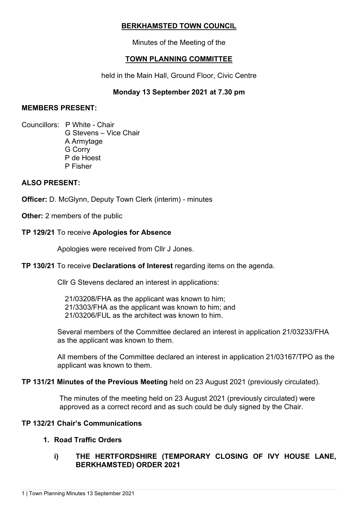## **BERKHAMSTED TOWN COUNCIL**

Minutes of the Meeting of the

## **TOWN PLANNING COMMITTEE**

held in the Main Hall, Ground Floor, Civic Centre

## **Monday 13 September 2021 at 7.30 pm**

### **MEMBERS PRESENT:**

Councillors: P White - Chair G Stevens – Vice Chair A Armytage G Corry P de Hoest P Fisher

### **ALSO PRESENT:**

**Officer:** D. McGlynn, Deputy Town Clerk (interim) - minutes

**Other:** 2 members of the public

### **TP 129/21** To receive **Apologies for Absence**

Apologies were received from Cllr J Jones.

### **TP 130/21** To receive **Declarations of Interest** regarding items on the agenda.

Cllr G Stevens declared an interest in applications:

21/03208/FHA as the applicant was known to him; 21/3303/FHA as the applicant was known to him; and 21/03206/FUL as the architect was known to him.

Several members of the Committee declared an interest in application 21/03233/FHA as the applicant was known to them.

All members of the Committee declared an interest in application 21/03167/TPO as the applicant was known to them.

**TP 131/21 Minutes of the Previous Meeting** held on 23 August 2021 (previously circulated).

The minutes of the meeting held on 23 August 2021 (previously circulated) were approved as a correct record and as such could be duly signed by the Chair.

### **TP 132/21 Chair's Communications**

### **1. Road Traffic Orders**

### **i) THE HERTFORDSHIRE (TEMPORARY CLOSING OF IVY HOUSE LANE, BERKHAMSTED) ORDER 2021**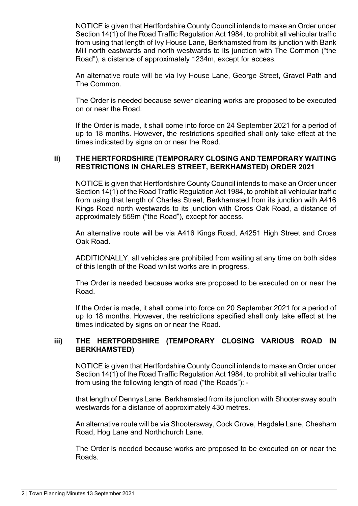NOTICE is given that Hertfordshire County Council intends to make an Order under Section 14(1) of the Road Traffic Regulation Act 1984, to prohibit all vehicular traffic from using that length of Ivy House Lane, Berkhamsted from its junction with Bank Mill north eastwards and north westwards to its junction with The Common ("the Road"), a distance of approximately 1234m, except for access.

An alternative route will be via Ivy House Lane, George Street, Gravel Path and The Common.

The Order is needed because sewer cleaning works are proposed to be executed on or near the Road.

If the Order is made, it shall come into force on 24 September 2021 for a period of up to 18 months. However, the restrictions specified shall only take effect at the times indicated by signs on or near the Road.

#### **ii) THE HERTFORDSHIRE (TEMPORARY CLOSING AND TEMPORARY WAITING RESTRICTIONS IN CHARLES STREET, BERKHAMSTED) ORDER 2021**

NOTICE is given that Hertfordshire County Council intends to make an Order under Section 14(1) of the Road Traffic Regulation Act 1984, to prohibit all vehicular traffic from using that length of Charles Street, Berkhamsted from its junction with A416 Kings Road north westwards to its junction with Cross Oak Road, a distance of approximately 559m ("the Road"), except for access.

An alternative route will be via A416 Kings Road, A4251 High Street and Cross Oak Road.

ADDITIONALLY, all vehicles are prohibited from waiting at any time on both sides of this length of the Road whilst works are in progress.

The Order is needed because works are proposed to be executed on or near the Road.

If the Order is made, it shall come into force on 20 September 2021 for a period of up to 18 months. However, the restrictions specified shall only take effect at the times indicated by signs on or near the Road.

### **iii) THE HERTFORDSHIRE (TEMPORARY CLOSING VARIOUS ROAD IN BERKHAMSTED)**

NOTICE is given that Hertfordshire County Council intends to make an Order under Section 14(1) of the Road Traffic Regulation Act 1984, to prohibit all vehicular traffic from using the following length of road ("the Roads"): -

that length of Dennys Lane, Berkhamsted from its junction with Shootersway south westwards for a distance of approximately 430 metres.

An alternative route will be via Shootersway, Cock Grove, Hagdale Lane, Chesham Road, Hog Lane and Northchurch Lane.

The Order is needed because works are proposed to be executed on or near the Roads.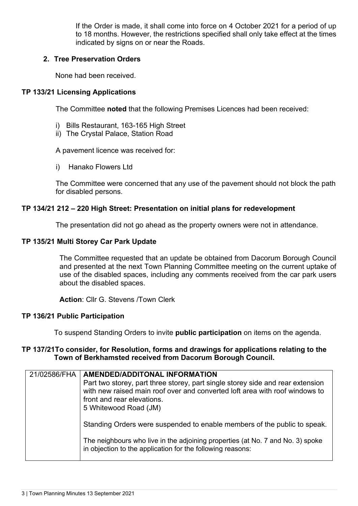If the Order is made, it shall come into force on 4 October 2021 for a period of up to 18 months. However, the restrictions specified shall only take effect at the times indicated by signs on or near the Roads.

### **2. Tree Preservation Orders**

None had been received.

### **TP 133/21 Licensing Applications**

The Committee **noted** that the following Premises Licences had been received:

- i) Bills Restaurant, 163-165 High Street
- ii) The Crystal Palace, Station Road

A pavement licence was received for:

i) Hanako Flowers Ltd

The Committee were concerned that any use of the pavement should not block the path for disabled persons.

### **TP 134/21 212 – 220 High Street: Presentation on initial plans for redevelopment**

The presentation did not go ahead as the property owners were not in attendance.

### **TP 135/21 Multi Storey Car Park Update**

The Committee requested that an update be obtained from Dacorum Borough Council and presented at the next Town Planning Committee meeting on the current uptake of use of the disabled spaces, including any comments received from the car park users about the disabled spaces.

**Action**: Cllr G. Stevens /Town Clerk

### **TP 136/21 Public Participation**

To suspend Standing Orders to invite **public participation** on items on the agenda.

### **TP 137/21To consider, for Resolution, forms and drawings for applications relating to the Town of Berkhamsted received from Dacorum Borough Council.**

| 21/02586/FHA | <b>AMENDED/ADDITONAL INFORMATION</b><br>Part two storey, part three storey, part single storey side and rear extension<br>with new raised main roof over and converted loft area with roof windows to<br>front and rear elevations.<br>5 Whitewood Road (JM) |
|--------------|--------------------------------------------------------------------------------------------------------------------------------------------------------------------------------------------------------------------------------------------------------------|
|              | Standing Orders were suspended to enable members of the public to speak.                                                                                                                                                                                     |
|              | The neighbours who live in the adjoining properties (at No. 7 and No. 3) spoke<br>in objection to the application for the following reasons:                                                                                                                 |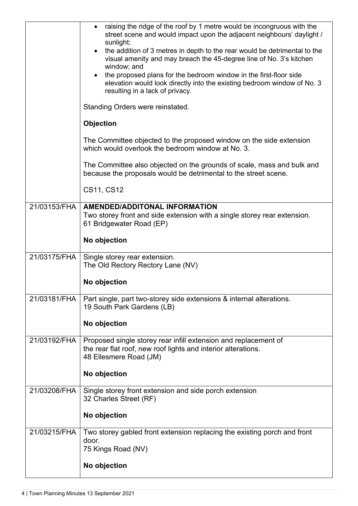|              | raising the ridge of the roof by 1 metre would be incongruous with the<br>street scene and would impact upon the adjacent neighbours' daylight /<br>sunlight;<br>the addition of 3 metres in depth to the rear would be detrimental to the<br>visual amenity and may breach the 45-degree line of No. 3's kitchen<br>window; and<br>the proposed plans for the bedroom window in the first-floor side<br>elevation would look directly into the existing bedroom window of No. 3<br>resulting in a lack of privacy.<br>Standing Orders were reinstated.<br><b>Objection</b><br>The Committee objected to the proposed window on the side extension<br>which would overlook the bedroom window at No. 3.<br>The Committee also objected on the grounds of scale, mass and bulk and<br>because the proposals would be detrimental to the street scene.<br>CS11, CS12 |
|--------------|--------------------------------------------------------------------------------------------------------------------------------------------------------------------------------------------------------------------------------------------------------------------------------------------------------------------------------------------------------------------------------------------------------------------------------------------------------------------------------------------------------------------------------------------------------------------------------------------------------------------------------------------------------------------------------------------------------------------------------------------------------------------------------------------------------------------------------------------------------------------|
| 21/03153/FHA | <b>AMENDED/ADDITONAL INFORMATION</b>                                                                                                                                                                                                                                                                                                                                                                                                                                                                                                                                                                                                                                                                                                                                                                                                                               |
|              | Two storey front and side extension with a single storey rear extension.<br>61 Bridgewater Road (EP)                                                                                                                                                                                                                                                                                                                                                                                                                                                                                                                                                                                                                                                                                                                                                               |
|              | No objection                                                                                                                                                                                                                                                                                                                                                                                                                                                                                                                                                                                                                                                                                                                                                                                                                                                       |
| 21/03175/FHA | Single storey rear extension.<br>The Old Rectory Rectory Lane (NV)                                                                                                                                                                                                                                                                                                                                                                                                                                                                                                                                                                                                                                                                                                                                                                                                 |
|              | No objection                                                                                                                                                                                                                                                                                                                                                                                                                                                                                                                                                                                                                                                                                                                                                                                                                                                       |
| 21/03181/FHA | Part single, part two-storey side extensions & internal alterations.<br>19 South Park Gardens (LB)                                                                                                                                                                                                                                                                                                                                                                                                                                                                                                                                                                                                                                                                                                                                                                 |
|              | No objection                                                                                                                                                                                                                                                                                                                                                                                                                                                                                                                                                                                                                                                                                                                                                                                                                                                       |
| 21/03192/FHA | Proposed single storey rear infill extension and replacement of<br>the rear flat roof, new roof lights and interior alterations.<br>48 Ellesmere Road (JM)                                                                                                                                                                                                                                                                                                                                                                                                                                                                                                                                                                                                                                                                                                         |
|              | No objection                                                                                                                                                                                                                                                                                                                                                                                                                                                                                                                                                                                                                                                                                                                                                                                                                                                       |
| 21/03208/FHA | Single storey front extension and side porch extension<br>32 Charles Street (RF)                                                                                                                                                                                                                                                                                                                                                                                                                                                                                                                                                                                                                                                                                                                                                                                   |
|              | No objection                                                                                                                                                                                                                                                                                                                                                                                                                                                                                                                                                                                                                                                                                                                                                                                                                                                       |
| 21/03215/FHA | Two storey gabled front extension replacing the existing porch and front<br>door.                                                                                                                                                                                                                                                                                                                                                                                                                                                                                                                                                                                                                                                                                                                                                                                  |
|              | 75 Kings Road (NV)                                                                                                                                                                                                                                                                                                                                                                                                                                                                                                                                                                                                                                                                                                                                                                                                                                                 |
|              | No objection                                                                                                                                                                                                                                                                                                                                                                                                                                                                                                                                                                                                                                                                                                                                                                                                                                                       |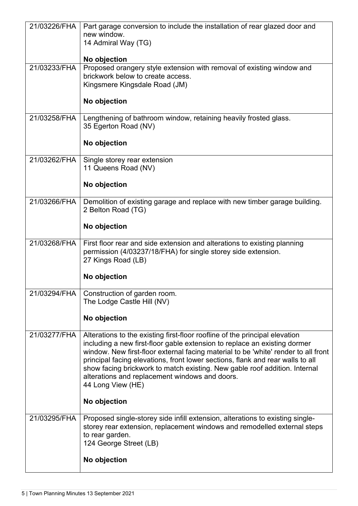| 21/03226/FHA | Part garage conversion to include the installation of rear glazed door and<br>new window.                                                                                                                                                                                                                                                                                                                                                                                             |
|--------------|---------------------------------------------------------------------------------------------------------------------------------------------------------------------------------------------------------------------------------------------------------------------------------------------------------------------------------------------------------------------------------------------------------------------------------------------------------------------------------------|
|              | 14 Admiral Way (TG)                                                                                                                                                                                                                                                                                                                                                                                                                                                                   |
|              | No objection                                                                                                                                                                                                                                                                                                                                                                                                                                                                          |
| 21/03233/FHA | Proposed orangery style extension with removal of existing window and<br>brickwork below to create access.                                                                                                                                                                                                                                                                                                                                                                            |
|              | Kingsmere Kingsdale Road (JM)                                                                                                                                                                                                                                                                                                                                                                                                                                                         |
|              | No objection                                                                                                                                                                                                                                                                                                                                                                                                                                                                          |
| 21/03258/FHA | Lengthening of bathroom window, retaining heavily frosted glass.<br>35 Egerton Road (NV)                                                                                                                                                                                                                                                                                                                                                                                              |
|              | No objection                                                                                                                                                                                                                                                                                                                                                                                                                                                                          |
| 21/03262/FHA | Single storey rear extension<br>11 Queens Road (NV)                                                                                                                                                                                                                                                                                                                                                                                                                                   |
|              | No objection                                                                                                                                                                                                                                                                                                                                                                                                                                                                          |
| 21/03266/FHA | Demolition of existing garage and replace with new timber garage building.<br>2 Belton Road (TG)                                                                                                                                                                                                                                                                                                                                                                                      |
|              | No objection                                                                                                                                                                                                                                                                                                                                                                                                                                                                          |
| 21/03268/FHA | First floor rear and side extension and alterations to existing planning<br>permission (4/03237/18/FHA) for single storey side extension.<br>27 Kings Road (LB)                                                                                                                                                                                                                                                                                                                       |
|              | No objection                                                                                                                                                                                                                                                                                                                                                                                                                                                                          |
|              | 21/03294/FHA   Construction of garden room.<br>The Lodge Castle Hill (NV)                                                                                                                                                                                                                                                                                                                                                                                                             |
|              | No objection                                                                                                                                                                                                                                                                                                                                                                                                                                                                          |
| 21/03277/FHA | Alterations to the existing first-floor roofline of the principal elevation<br>including a new first-floor gable extension to replace an existing dormer<br>window. New first-floor external facing material to be 'white' render to all front<br>principal facing elevations, front lower sections, flank and rear walls to all<br>show facing brickwork to match existing. New gable roof addition. Internal<br>alterations and replacement windows and doors.<br>44 Long View (HE) |
|              | No objection                                                                                                                                                                                                                                                                                                                                                                                                                                                                          |
| 21/03295/FHA | Proposed single-storey side infill extension, alterations to existing single-<br>storey rear extension, replacement windows and remodelled external steps<br>to rear garden.<br>124 George Street (LB)                                                                                                                                                                                                                                                                                |
|              | No objection                                                                                                                                                                                                                                                                                                                                                                                                                                                                          |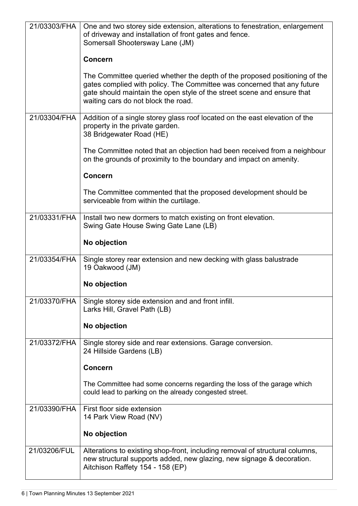| 21/03303/FHA | One and two storey side extension, alterations to fenestration, enlargement<br>of driveway and installation of front gates and fence.<br>Somersall Shootersway Lane (JM)                                                                                                |
|--------------|-------------------------------------------------------------------------------------------------------------------------------------------------------------------------------------------------------------------------------------------------------------------------|
|              | <b>Concern</b>                                                                                                                                                                                                                                                          |
|              | The Committee queried whether the depth of the proposed positioning of the<br>gates complied with policy. The Committee was concerned that any future<br>gate should maintain the open style of the street scene and ensure that<br>waiting cars do not block the road. |
| 21/03304/FHA | Addition of a single storey glass roof located on the east elevation of the<br>property in the private garden.<br>38 Bridgewater Road (HE)                                                                                                                              |
|              | The Committee noted that an objection had been received from a neighbour<br>on the grounds of proximity to the boundary and impact on amenity.                                                                                                                          |
|              | <b>Concern</b>                                                                                                                                                                                                                                                          |
|              | The Committee commented that the proposed development should be<br>serviceable from within the curtilage.                                                                                                                                                               |
| 21/03331/FHA | Install two new dormers to match existing on front elevation.<br>Swing Gate House Swing Gate Lane (LB)                                                                                                                                                                  |
|              | No objection                                                                                                                                                                                                                                                            |
| 21/03354/FHA | Single storey rear extension and new decking with glass balustrade<br>19 Oakwood (JM)                                                                                                                                                                                   |
|              | No objection                                                                                                                                                                                                                                                            |
| 21/03370/FHA | Single storey side extension and and front infill.<br>Larks Hill, Gravel Path (LB)                                                                                                                                                                                      |
|              | No objection                                                                                                                                                                                                                                                            |
| 21/03372/FHA | Single storey side and rear extensions. Garage conversion.<br>24 Hillside Gardens (LB)                                                                                                                                                                                  |
|              | <b>Concern</b>                                                                                                                                                                                                                                                          |
|              | The Committee had some concerns regarding the loss of the garage which<br>could lead to parking on the already congested street.                                                                                                                                        |
| 21/03390/FHA | First floor side extension<br>14 Park View Road (NV)                                                                                                                                                                                                                    |
|              | No objection                                                                                                                                                                                                                                                            |
| 21/03206/FUL | Alterations to existing shop-front, including removal of structural columns,<br>new structural supports added, new glazing, new signage & decoration.<br>Aitchison Raffety 154 - 158 (EP)                                                                               |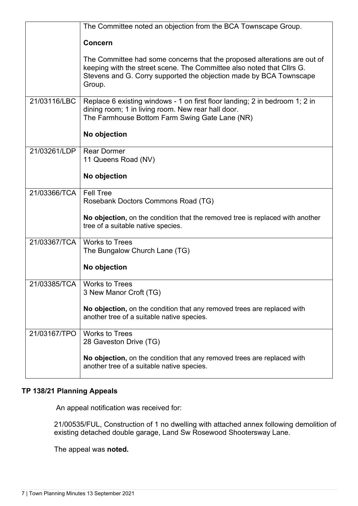|              | The Committee noted an objection from the BCA Townscape Group.                                                                                                                                                                    |
|--------------|-----------------------------------------------------------------------------------------------------------------------------------------------------------------------------------------------------------------------------------|
|              | Concern                                                                                                                                                                                                                           |
|              | The Committee had some concerns that the proposed alterations are out of<br>keeping with the street scene. The Committee also noted that Cllrs G.<br>Stevens and G. Corry supported the objection made by BCA Townscape<br>Group. |
| 21/03116/LBC | Replace 6 existing windows - 1 on first floor landing; 2 in bedroom 1; 2 in<br>dining room; 1 in living room. New rear hall door.<br>The Farmhouse Bottom Farm Swing Gate Lane (NR)<br>No objection                               |
| 21/03261/LDP |                                                                                                                                                                                                                                   |
|              | <b>Rear Dormer</b><br>11 Queens Road (NV)                                                                                                                                                                                         |
|              | No objection                                                                                                                                                                                                                      |
| 21/03366/TCA | <b>Fell Tree</b><br>Rosebank Doctors Commons Road (TG)                                                                                                                                                                            |
|              | No objection, on the condition that the removed tree is replaced with another<br>tree of a suitable native species.                                                                                                               |
| 21/03367/TCA | <b>Works to Trees</b><br>The Bungalow Church Lane (TG)                                                                                                                                                                            |
|              | No objection                                                                                                                                                                                                                      |
| 21/03385/TCA | <b>Works to Trees</b><br>3 New Manor Croft (TG)                                                                                                                                                                                   |
|              | No objection, on the condition that any removed trees are replaced with<br>another tree of a suitable native species.                                                                                                             |
| 21/03167/TPO | <b>Works to Trees</b><br>28 Gaveston Drive (TG)                                                                                                                                                                                   |
|              | No objection, on the condition that any removed trees are replaced with<br>another tree of a suitable native species.                                                                                                             |

## **TP 138/21 Planning Appeals**

An appeal notification was received for:

21/00535/FUL, Construction of 1 no dwelling with attached annex following demolition of existing detached double garage, Land Sw Rosewood Shootersway Lane.

The appeal was **noted.**